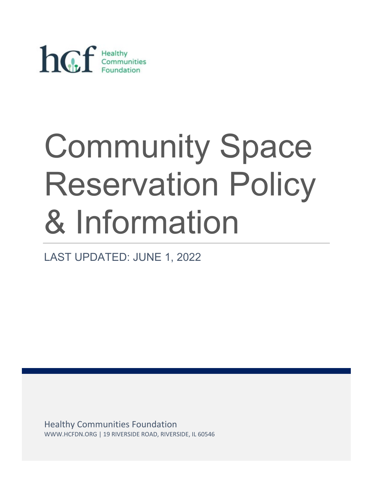

# Community Space Reservation Policy & Information

LAST UPDATED: JUNE 1, 2022

Healthy Communities Foundation WWW.HCFDN.ORG | 19 RIVERSIDE ROAD, RIVERSIDE, IL 60546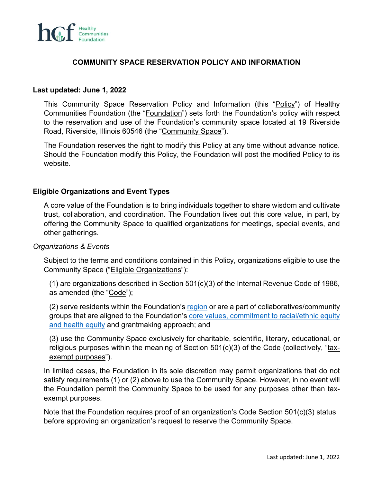

## **COMMUNITY SPACE RESERVATION POLICY AND INFORMATION**

#### **Last updated: June 1, 2022**

This Community Space Reservation Policy and Information (this "Policy") of Healthy Communities Foundation (the "Foundation") sets forth the Foundation's policy with respect to the reservation and use of the Foundation's community space located at 19 Riverside Road, Riverside, Illinois 60546 (the "Community Space").

The Foundation reserves the right to modify this Policy at any time without advance notice. Should the Foundation modify this Policy, the Foundation will post the modified Policy to its website.

#### **Eligible Organizations and Event Types**

A core value of the Foundation is to bring individuals together to share wisdom and cultivate trust, collaboration, and coordination. The Foundation lives out this core value, in part, by offering the Community Space to qualified organizations for meetings, special events, and other gatherings.

#### *Organizations & Events*

Subject to the terms and conditions contained in this Policy, organizations eligible to use the Community Space ("Eligible Organizations"):

(1) are organizations described in Section 501(c)(3) of the Internal Revenue Code of 1986, as amended (the "Code");

(2) serve residents within the Foundation's [region](https://www.hcfdn.org/mission/) or are a part of collaboratives/community groups that are aligned to the Foundation's [core values,](https://www.hcfdn.org/mission/) commitment to racial/ethnic equity and health equity and grantmaking approach; and

(3) use the Community Space exclusively for charitable, scientific, literary, educational, or religious purposes within the meaning of Section 501(c)(3) of the Code (collectively, "taxexempt purposes").

In limited cases, the Foundation in its sole discretion may permit organizations that do not satisfy requirements (1) or (2) above to use the Community Space. However, in no event will the Foundation permit the Community Space to be used for any purposes other than taxexempt purposes.

Note that the Foundation requires proof of an organization's Code Section 501(c)(3) status before approving an organization's request to reserve the Community Space.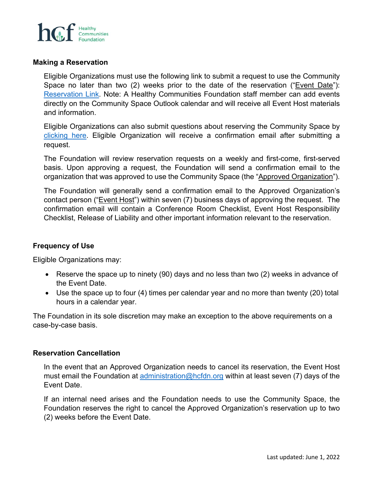

#### **Making a Reservation**

Eligible Organizations must use the following link to submit a request to use the Community Space no later than two (2) weeks prior to the date of the reservation ("Event Date"): [Reservation Link.](https://calendly.com/hcfdn) Note: A Healthy Communities Foundation staff member can add events directly on the Community Space Outlook calendar and will receive all Event Host materials and information.

Eligible Organizations can also submit questions about reserving the Community Space by [clicking here.](https://form.asana.com/?k=_Lq8O21ERz5zIIEQd9kACg&d=682768389277250) Eligible Organization will receive a confirmation email after submitting a request.

The Foundation will review reservation requests on a weekly and first-come, first-served basis. Upon approving a request, the Foundation will send a confirmation email to the organization that was approved to use the Community Space (the "Approved Organization").

The Foundation will generally send a confirmation email to the Approved Organization's contact person ("Event Host") within seven (7) business days of approving the request. The confirmation email will contain a Conference Room Checklist, Event Host Responsibility Checklist, Release of Liability and other important information relevant to the reservation.

# **Frequency of Use**

Eligible Organizations may:

- Reserve the space up to ninety (90) days and no less than two (2) weeks in advance of the Event Date.
- Use the space up to four (4) times per calendar year and no more than twenty (20) total hours in a calendar year.

The Foundation in its sole discretion may make an exception to the above requirements on a case-by-case basis.

#### **Reservation Cancellation**

In the event that an Approved Organization needs to cancel its reservation, the Event Host must email the Foundation at [administration@hcfdn.org](mailto:administration@hcfdn.org) within at least seven (7) days of the Event Date.

If an internal need arises and the Foundation needs to use the Community Space, the Foundation reserves the right to cancel the Approved Organization's reservation up to two (2) weeks before the Event Date.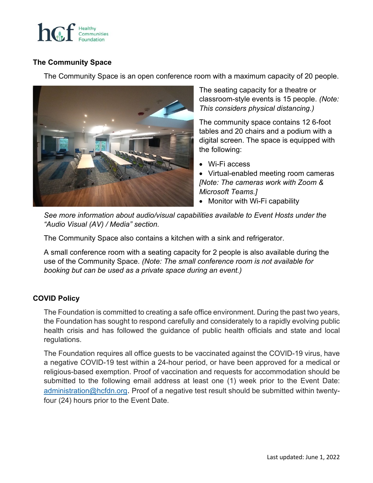

# **The Community Space**

The Community Space is an open conference room with a maximum capacity of 20 people.



The seating capacity for a theatre or classroom-style events is 15 people. *(Note: This considers physical distancing.)*

The community space contains 12 6-foot tables and 20 chairs and a podium with a digital screen. The space is equipped with the following:

• Wi-Fi access

• Virtual-enabled meeting room cameras *[Note: The cameras work with Zoom & Microsoft Teams.]*

• Monitor with Wi-Fi capability

*See more information about audio/visual capabilities available to Event Hosts under the "Audio Visual (AV) / Media" section.*

The Community Space also contains a kitchen with a sink and refrigerator.

A small conference room with a seating capacity for 2 people is also available during the use of the Community Space. *(Note: The small conference room is not available for booking but can be used as a private space during an event.)* 

# **COVID Policy**

The Foundation is committed to creating a safe office environment. During the past two years, the Foundation has sought to respond carefully and considerately to a rapidly evolving public health crisis and has followed the guidance of public health officials and state and local regulations.

The Foundation requires all office guests to be vaccinated against the COVID-19 virus, have a negative COVID-19 test within a 24-hour period, or have been approved for a medical or religious-based exemption. Proof of vaccination and requests for accommodation should be submitted to the following email address at least one (1) week prior to the Event Date: [administration@hcfdn.org.](mailto:administration@hcfdn.org) Proof of a negative test result should be submitted within twentyfour (24) hours prior to the Event Date.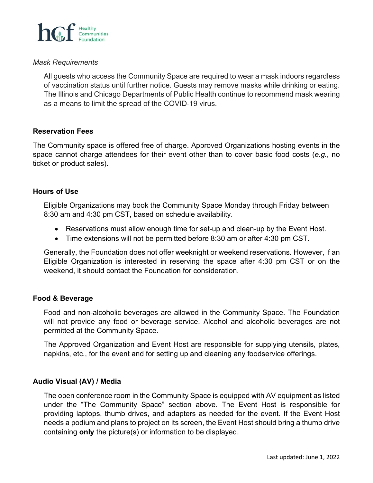

### *Mask Requirements*

All guests who access the Community Space are required to wear a mask indoors regardless of vaccination status until further notice. Guests may remove masks while drinking or eating. The Illinois and Chicago Departments of Public Health continue to recommend mask wearing as a means to limit the spread of the COVID-19 virus.

#### **Reservation Fees**

The Community space is offered free of charge. Approved Organizations hosting events in the space cannot charge attendees for their event other than to cover basic food costs (*e.g.*, no ticket or product sales).

#### **Hours of Use**

Eligible Organizations may book the Community Space Monday through Friday between 8:30 am and 4:30 pm CST, based on schedule availability.

- Reservations must allow enough time for set-up and clean-up by the Event Host.
- Time extensions will not be permitted before 8:30 am or after 4:30 pm CST.

Generally, the Foundation does not offer weeknight or weekend reservations. However, if an Eligible Organization is interested in reserving the space after 4:30 pm CST or on the weekend, it should contact the Foundation for consideration.

### **Food & Beverage**

Food and non-alcoholic beverages are allowed in the Community Space. The Foundation will not provide any food or beverage service. Alcohol and alcoholic beverages are not permitted at the Community Space.

The Approved Organization and Event Host are responsible for supplying utensils, plates, napkins, etc., for the event and for setting up and cleaning any foodservice offerings.

#### **Audio Visual (AV) / Media**

The open conference room in the Community Space is equipped with AV equipment as listed under the "The Community Space" section above. The Event Host is responsible for providing laptops, thumb drives, and adapters as needed for the event. If the Event Host needs a podium and plans to project on its screen, the Event Host should bring a thumb drive containing **only** the picture(s) or information to be displayed.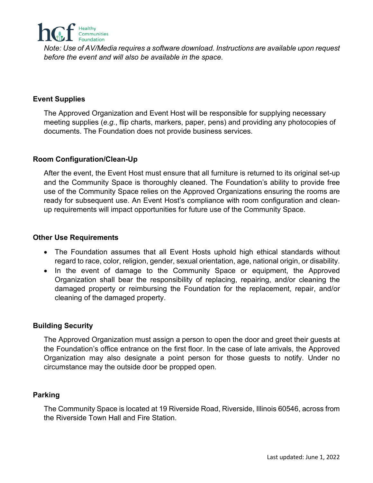

*Note: Use of AV/Media requires a software download. Instructions are available upon request before the event and will also be available in the space.*

# **Event Supplies**

The Approved Organization and Event Host will be responsible for supplying necessary meeting supplies (*e.g.*, flip charts, markers, paper, pens) and providing any photocopies of documents. The Foundation does not provide business services.

# **Room Configuration/Clean-Up**

After the event, the Event Host must ensure that all furniture is returned to its original set-up and the Community Space is thoroughly cleaned. The Foundation's ability to provide free use of the Community Space relies on the Approved Organizations ensuring the rooms are ready for subsequent use. An Event Host's compliance with room configuration and cleanup requirements will impact opportunities for future use of the Community Space.

## **Other Use Requirements**

- The Foundation assumes that all Event Hosts uphold high ethical standards without regard to race, color, religion, gender, sexual orientation, age, national origin, or disability.
- In the event of damage to the Community Space or equipment, the Approved Organization shall bear the responsibility of replacing, repairing, and/or cleaning the damaged property or reimbursing the Foundation for the replacement, repair, and/or cleaning of the damaged property.

# **Building Security**

The Approved Organization must assign a person to open the door and greet their guests at the Foundation's office entrance on the first floor. In the case of late arrivals, the Approved Organization may also designate a point person for those guests to notify. Under no circumstance may the outside door be propped open.

# **Parking**

The Community Space is located at 19 Riverside Road, Riverside, Illinois 60546, across from the Riverside Town Hall and Fire Station.